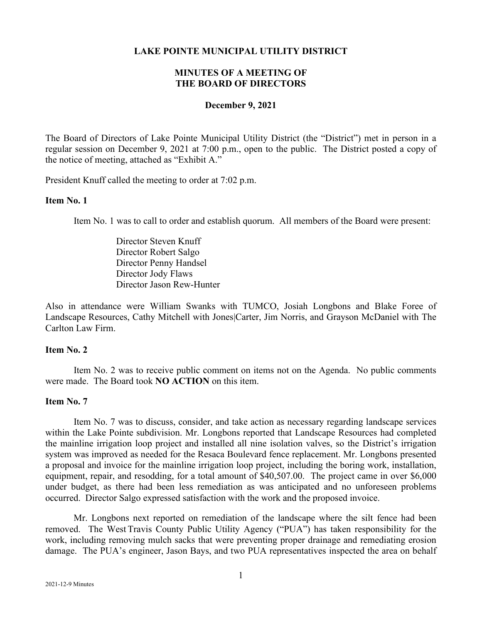### **LAKE POINTE MUNICIPAL UTILITY DISTRICT**

## **MINUTES OF A MEETING OF THE BOARD OF DIRECTORS**

#### **December 9, 2021**

The Board of Directors of Lake Pointe Municipal Utility District (the "District") met in person in a regular session on December 9, 2021 at 7:00 p.m., open to the public. The District posted a copy of the notice of meeting, attached as "Exhibit A."

President Knuff called the meeting to order at 7:02 p.m.

#### **Item No. 1**

Item No. 1 was to call to order and establish quorum. All members of the Board were present:

Director Steven Knuff Director Robert Salgo Director Penny Handsel Director Jody Flaws Director Jason Rew-Hunter

Also in attendance were William Swanks with TUMCO, Josiah Longbons and Blake Foree of Landscape Resources, Cathy Mitchell with Jones|Carter, Jim Norris, and Grayson McDaniel with The Carlton Law Firm.

## **Item No. 2**

Item No. 2 was to receive public comment on items not on the Agenda. No public comments were made. The Board took **NO ACTION** on this item.

#### **Item No. 7**

Item No. 7 was to discuss, consider, and take action as necessary regarding landscape services within the Lake Pointe subdivision. Mr. Longbons reported that Landscape Resources had completed the mainline irrigation loop project and installed all nine isolation valves, so the District's irrigation system was improved as needed for the Resaca Boulevard fence replacement. Mr. Longbons presented a proposal and invoice for the mainline irrigation loop project, including the boring work, installation, equipment, repair, and resodding, for a total amount of \$40,507.00. The project came in over \$6,000 under budget, as there had been less remediation as was anticipated and no unforeseen problems occurred. Director Salgo expressed satisfaction with the work and the proposed invoice.

Mr. Longbons next reported on remediation of the landscape where the silt fence had been removed. The West Travis County Public Utility Agency ("PUA") has taken responsibility for the work, including removing mulch sacks that were preventing proper drainage and remediating erosion damage. The PUA's engineer, Jason Bays, and two PUA representatives inspected the area on behalf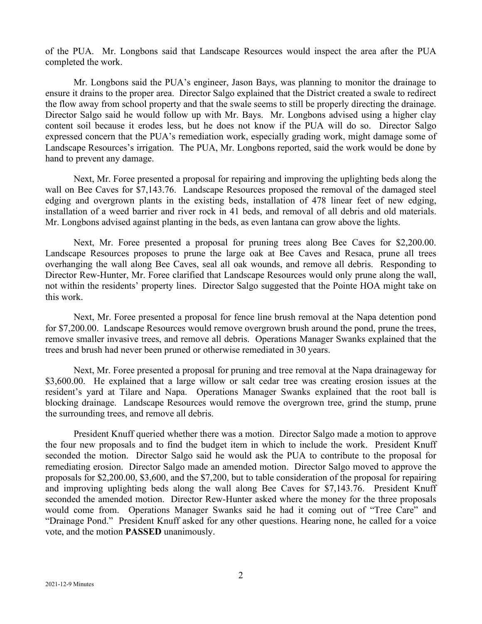of the PUA. Mr. Longbons said that Landscape Resources would inspect the area after the PUA completed the work.

Mr. Longbons said the PUA's engineer, Jason Bays, was planning to monitor the drainage to ensure it drains to the proper area. Director Salgo explained that the District created a swale to redirect the flow away from school property and that the swale seems to still be properly directing the drainage. Director Salgo said he would follow up with Mr. Bays. Mr. Longbons advised using a higher clay content soil because it erodes less, but he does not know if the PUA will do so. Director Salgo expressed concern that the PUA's remediation work, especially grading work, might damage some of Landscape Resources's irrigation. The PUA, Mr. Longbons reported, said the work would be done by hand to prevent any damage.

Next, Mr. Foree presented a proposal for repairing and improving the uplighting beds along the wall on Bee Caves for \$7,143.76. Landscape Resources proposed the removal of the damaged steel edging and overgrown plants in the existing beds, installation of 478 linear feet of new edging, installation of a weed barrier and river rock in 41 beds, and removal of all debris and old materials. Mr. Longbons advised against planting in the beds, as even lantana can grow above the lights.

Next, Mr. Foree presented a proposal for pruning trees along Bee Caves for \$2,200.00. Landscape Resources proposes to prune the large oak at Bee Caves and Resaca, prune all trees overhanging the wall along Bee Caves, seal all oak wounds, and remove all debris. Responding to Director Rew-Hunter, Mr. Foree clarified that Landscape Resources would only prune along the wall, not within the residents' property lines. Director Salgo suggested that the Pointe HOA might take on this work.

Next, Mr. Foree presented a proposal for fence line brush removal at the Napa detention pond for \$7,200.00. Landscape Resources would remove overgrown brush around the pond, prune the trees, remove smaller invasive trees, and remove all debris. Operations Manager Swanks explained that the trees and brush had never been pruned or otherwise remediated in 30 years.

Next, Mr. Foree presented a proposal for pruning and tree removal at the Napa drainageway for \$3,600.00. He explained that a large willow or salt cedar tree was creating erosion issues at the resident's yard at Tilare and Napa. Operations Manager Swanks explained that the root ball is blocking drainage. Landscape Resources would remove the overgrown tree, grind the stump, prune the surrounding trees, and remove all debris.

President Knuff queried whether there was a motion. Director Salgo made a motion to approve the four new proposals and to find the budget item in which to include the work. President Knuff seconded the motion. Director Salgo said he would ask the PUA to contribute to the proposal for remediating erosion. Director Salgo made an amended motion. Director Salgo moved to approve the proposals for \$2,200.00, \$3,600, and the \$7,200, but to table consideration of the proposal for repairing and improving uplighting beds along the wall along Bee Caves for \$7,143.76. President Knuff seconded the amended motion. Director Rew-Hunter asked where the money for the three proposals would come from. Operations Manager Swanks said he had it coming out of "Tree Care" and "Drainage Pond." President Knuff asked for any other questions. Hearing none, he called for a voice vote, and the motion **PASSED** unanimously.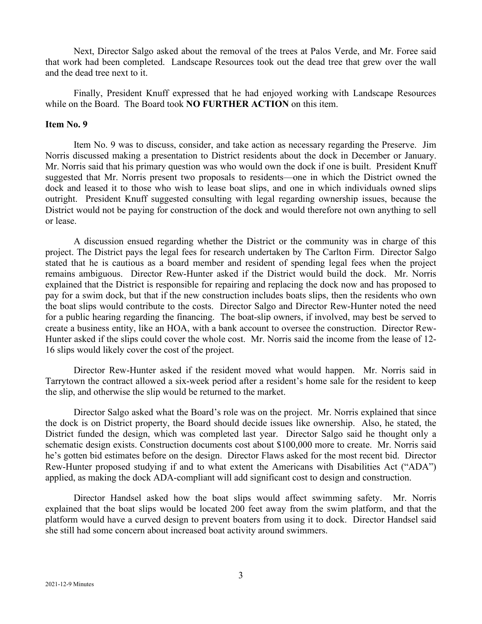Next, Director Salgo asked about the removal of the trees at Palos Verde, and Mr. Foree said that work had been completed. Landscape Resources took out the dead tree that grew over the wall and the dead tree next to it.

Finally, President Knuff expressed that he had enjoyed working with Landscape Resources while on the Board. The Board took **NO FURTHER ACTION** on this item.

## **Item No. 9**

Item No. 9 was to discuss, consider, and take action as necessary regarding the Preserve. Jim Norris discussed making a presentation to District residents about the dock in December or January. Mr. Norris said that his primary question was who would own the dock if one is built. President Knuff suggested that Mr. Norris present two proposals to residents—one in which the District owned the dock and leased it to those who wish to lease boat slips, and one in which individuals owned slips outright. President Knuff suggested consulting with legal regarding ownership issues, because the District would not be paying for construction of the dock and would therefore not own anything to sell or lease.

A discussion ensued regarding whether the District or the community was in charge of this project. The District pays the legal fees for research undertaken by The Carlton Firm. Director Salgo stated that he is cautious as a board member and resident of spending legal fees when the project remains ambiguous. Director Rew-Hunter asked if the District would build the dock. Mr. Norris explained that the District is responsible for repairing and replacing the dock now and has proposed to pay for a swim dock, but that if the new construction includes boats slips, then the residents who own the boat slips would contribute to the costs. Director Salgo and Director Rew-Hunter noted the need for a public hearing regarding the financing. The boat-slip owners, if involved, may best be served to create a business entity, like an HOA, with a bank account to oversee the construction. Director Rew-Hunter asked if the slips could cover the whole cost. Mr. Norris said the income from the lease of 12- 16 slips would likely cover the cost of the project.

Director Rew-Hunter asked if the resident moved what would happen. Mr. Norris said in Tarrytown the contract allowed a six-week period after a resident's home sale for the resident to keep the slip, and otherwise the slip would be returned to the market.

Director Salgo asked what the Board's role was on the project. Mr. Norris explained that since the dock is on District property, the Board should decide issues like ownership. Also, he stated, the District funded the design, which was completed last year. Director Salgo said he thought only a schematic design exists. Construction documents cost about \$100,000 more to create. Mr. Norris said he's gotten bid estimates before on the design. Director Flaws asked for the most recent bid. Director Rew-Hunter proposed studying if and to what extent the Americans with Disabilities Act ("ADA") applied, as making the dock ADA-compliant will add significant cost to design and construction.

Director Handsel asked how the boat slips would affect swimming safety. Mr. Norris explained that the boat slips would be located 200 feet away from the swim platform, and that the platform would have a curved design to prevent boaters from using it to dock. Director Handsel said she still had some concern about increased boat activity around swimmers.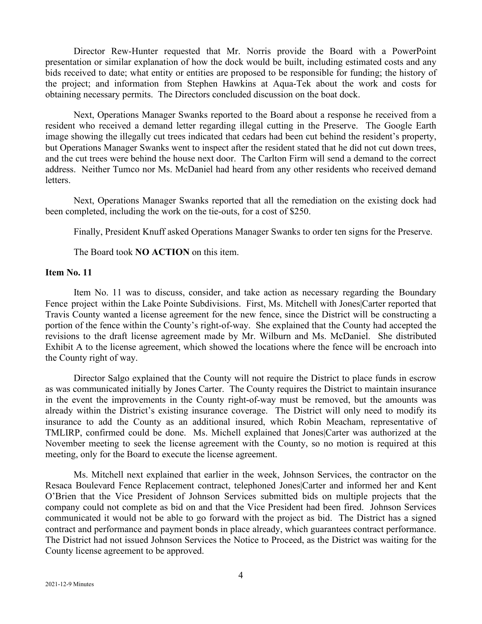Director Rew-Hunter requested that Mr. Norris provide the Board with a PowerPoint presentation or similar explanation of how the dock would be built, including estimated costs and any bids received to date; what entity or entities are proposed to be responsible for funding; the history of the project; and information from Stephen Hawkins at Aqua-Tek about the work and costs for obtaining necessary permits. The Directors concluded discussion on the boat dock.

Next, Operations Manager Swanks reported to the Board about a response he received from a resident who received a demand letter regarding illegal cutting in the Preserve. The Google Earth image showing the illegally cut trees indicated that cedars had been cut behind the resident's property, but Operations Manager Swanks went to inspect after the resident stated that he did not cut down trees, and the cut trees were behind the house next door. The Carlton Firm will send a demand to the correct address. Neither Tumco nor Ms. McDaniel had heard from any other residents who received demand letters.

Next, Operations Manager Swanks reported that all the remediation on the existing dock had been completed, including the work on the tie-outs, for a cost of \$250.

Finally, President Knuff asked Operations Manager Swanks to order ten signs for the Preserve.

The Board took **NO ACTION** on this item.

### **Item No. 11**

Item No. 11 was to discuss, consider, and take action as necessary regarding the Boundary Fence project within the Lake Pointe Subdivisions. First, Ms. Mitchell with Jones|Carter reported that Travis County wanted a license agreement for the new fence, since the District will be constructing a portion of the fence within the County's right-of-way. She explained that the County had accepted the revisions to the draft license agreement made by Mr. Wilburn and Ms. McDaniel. She distributed Exhibit A to the license agreement, which showed the locations where the fence will be encroach into the County right of way.

Director Salgo explained that the County will not require the District to place funds in escrow as was communicated initially by Jones Carter. The County requires the District to maintain insurance in the event the improvements in the County right-of-way must be removed, but the amounts was already within the District's existing insurance coverage. The District will only need to modify its insurance to add the County as an additional insured, which Robin Meacham, representative of TMLIRP, confirmed could be done. Ms. Michell explained that Jones|Carter was authorized at the November meeting to seek the license agreement with the County, so no motion is required at this meeting, only for the Board to execute the license agreement.

Ms. Mitchell next explained that earlier in the week, Johnson Services, the contractor on the Resaca Boulevard Fence Replacement contract, telephoned Jones|Carter and informed her and Kent O'Brien that the Vice President of Johnson Services submitted bids on multiple projects that the company could not complete as bid on and that the Vice President had been fired. Johnson Services communicated it would not be able to go forward with the project as bid. The District has a signed contract and performance and payment bonds in place already, which guarantees contract performance. The District had not issued Johnson Services the Notice to Proceed, as the District was waiting for the County license agreement to be approved.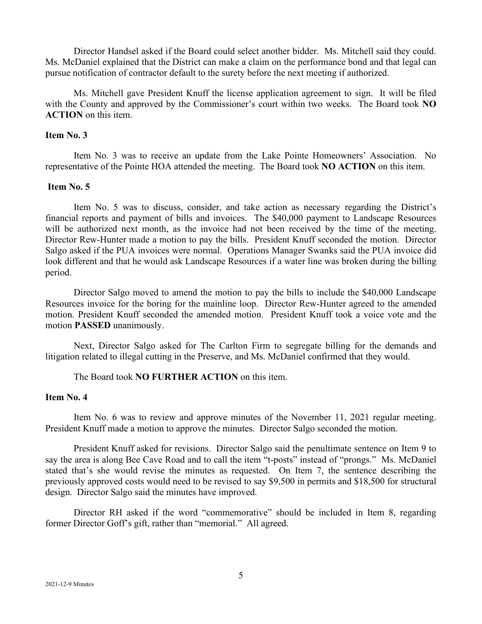Director Handsel asked if the Board could select another bidder. Ms. Mitchell said they could. Ms. McDaniel explained that the District can make a claim on the performance bond and that legal can pursue notification of contractor default to the surety before the next meeting if authorized.

Ms. Mitchell gave President Knuff the license application agreement to sign. It will be filed with the County and approved by the Commissioner's court within two weeks. The Board took **NO ACTION** on this item.

## **Item No. 3**

Item No. 3 was to receive an update from the Lake Pointe Homeowners' Association. No representative of the Pointe HOA attended the meeting. The Board took **NO ACTION** on this item.

## **Item No. 5**

Item No. 5 was to discuss, consider, and take action as necessary regarding the District's financial reports and payment of bills and invoices. The \$40,000 payment to Landscape Resources will be authorized next month, as the invoice had not been received by the time of the meeting. Director Rew-Hunter made a motion to pay the bills. President Knuff seconded the motion. Director Salgo asked if the PUA invoices were normal. Operations Manager Swanks said the PUA invoice did look different and that he would ask Landscape Resources if a water line was broken during the billing period.

Director Salgo moved to amend the motion to pay the bills to include the \$40,000 Landscape Resources invoice for the boring for the mainline loop. Director Rew-Hunter agreed to the amended motion. President Knuff seconded the amended motion. President Knuff took a voice vote and the motion **PASSED** unanimously.

Next, Director Salgo asked for The Carlton Firm to segregate billing for the demands and litigation related to illegal cutting in the Preserve, and Ms. McDaniel confirmed that they would.

The Board took **NO FURTHER ACTION** on this item.

## **Item No. 4**

Item No. 6 was to review and approve minutes of the November 11, 2021 regular meeting. President Knuff made a motion to approve the minutes. Director Salgo seconded the motion.

President Knuff asked for revisions. Director Salgo said the penultimate sentence on Item 9 to say the area is along Bee Cave Road and to call the item "t-posts" instead of "prongs." Ms. McDaniel stated that's she would revise the minutes as requested. On Item 7, the sentence describing the previously approved costs would need to be revised to say \$9,500 in permits and \$18,500 for structural design. Director Salgo said the minutes have improved.

Director RH asked if the word "commemorative" should be included in Item 8, regarding former Director Goff's gift, rather than "memorial." All agreed.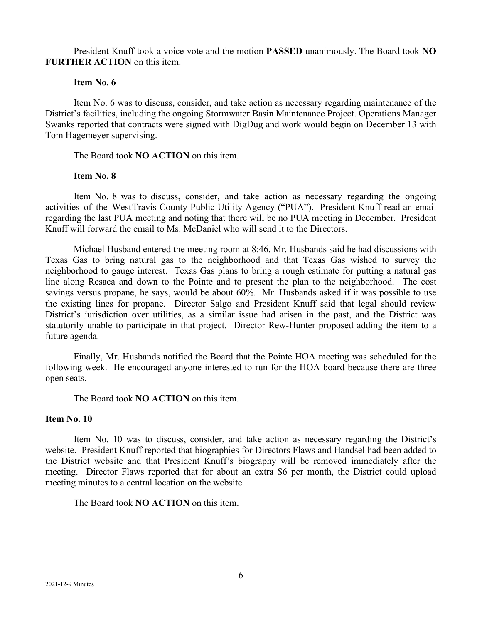President Knuff took a voice vote and the motion **PASSED** unanimously. The Board took **NO FURTHER ACTION** on this item.

#### **Item No. 6**

Item No. 6 was to discuss, consider, and take action as necessary regarding maintenance of the District's facilities, including the ongoing Stormwater Basin Maintenance Project. Operations Manager Swanks reported that contracts were signed with DigDug and work would begin on December 13 with Tom Hagemeyer supervising.

The Board took **NO ACTION** on this item.

### **Item No. 8**

Item No. 8 was to discuss, consider, and take action as necessary regarding the ongoing activities of the WestTravis County Public Utility Agency ("PUA"). President Knuff read an email regarding the last PUA meeting and noting that there will be no PUA meeting in December. President Knuff will forward the email to Ms. McDaniel who will send it to the Directors.

Michael Husband entered the meeting room at 8:46. Mr. Husbands said he had discussions with Texas Gas to bring natural gas to the neighborhood and that Texas Gas wished to survey the neighborhood to gauge interest. Texas Gas plans to bring a rough estimate for putting a natural gas line along Resaca and down to the Pointe and to present the plan to the neighborhood. The cost savings versus propane, he says, would be about 60%. Mr. Husbands asked if it was possible to use the existing lines for propane. Director Salgo and President Knuff said that legal should review District's jurisdiction over utilities, as a similar issue had arisen in the past, and the District was statutorily unable to participate in that project. Director Rew-Hunter proposed adding the item to a future agenda.

Finally, Mr. Husbands notified the Board that the Pointe HOA meeting was scheduled for the following week. He encouraged anyone interested to run for the HOA board because there are three open seats.

The Board took **NO ACTION** on this item.

#### **Item No. 10**

Item No. 10 was to discuss, consider, and take action as necessary regarding the District's website. President Knuff reported that biographies for Directors Flaws and Handsel had been added to the District website and that President Knuff's biography will be removed immediately after the meeting. Director Flaws reported that for about an extra \$6 per month, the District could upload meeting minutes to a central location on the website.

The Board took **NO ACTION** on this item.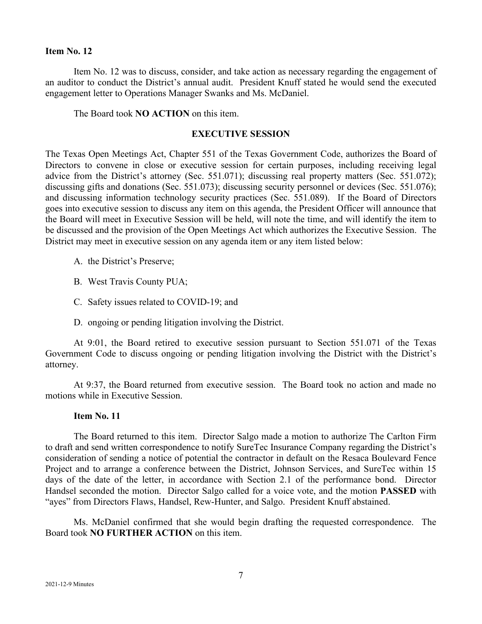#### **Item No. 12**

Item No. 12 was to discuss, consider, and take action as necessary regarding the engagement of an auditor to conduct the District's annual audit. President Knuff stated he would send the executed engagement letter to Operations Manager Swanks and Ms. McDaniel.

The Board took **NO ACTION** on this item.

#### **EXECUTIVE SESSION**

The Texas Open Meetings Act, Chapter 551 of the Texas Government Code, authorizes the Board of Directors to convene in close or executive session for certain purposes, including receiving legal advice from the District's attorney (Sec. 551.071); discussing real property matters (Sec. 551.072); discussing gifts and donations (Sec. 551.073); discussing security personnel or devices (Sec. 551.076); and discussing information technology security practices (Sec. 551.089). If the Board of Directors goes into executive session to discuss any item on this agenda, the President Officer will announce that the Board will meet in Executive Session will be held, will note the time, and will identify the item to be discussed and the provision of the Open Meetings Act which authorizes the Executive Session. The District may meet in executive session on any agenda item or any item listed below:

- A. the District's Preserve;
- B. West Travis County PUA;
- C. Safety issues related to COVID-19; and
- D. ongoing or pending litigation involving the District.

At 9:01, the Board retired to executive session pursuant to Section 551.071 of the Texas Government Code to discuss ongoing or pending litigation involving the District with the District's attorney.

At 9:37, the Board returned from executive session. The Board took no action and made no motions while in Executive Session.

## **Item No. 11**

The Board returned to this item. Director Salgo made a motion to authorize The Carlton Firm to draft and send written correspondence to notify SureTec Insurance Company regarding the District's consideration of sending a notice of potential the contractor in default on the Resaca Boulevard Fence Project and to arrange a conference between the District, Johnson Services, and SureTec within 15 days of the date of the letter, in accordance with Section 2.1 of the performance bond. Director Handsel seconded the motion. Director Salgo called for a voice vote, and the motion **PASSED** with "ayes" from Directors Flaws, Handsel, Rew-Hunter, and Salgo. President Knuff abstained.

Ms. McDaniel confirmed that she would begin drafting the requested correspondence. The Board took **NO FURTHER ACTION** on this item.